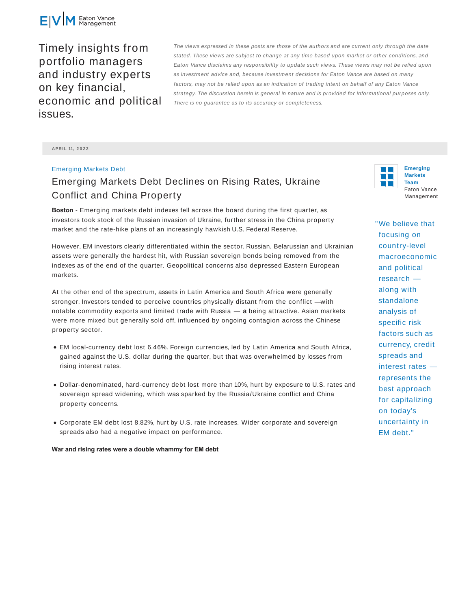

Timely insights from portfolio managers and industry experts on key financial, economic and political issues.

The views expressed in these posts are those of the authors and are current only through the date stated. These views are subject to change at any time based upon market or other conditions, and Eaton Vance disclaims any responsibility to update such views. These views may not be relied upon as investment advice and, because investment decisions for Eaton Vance are based on many factors, may not be relied upon as an indication of trading intent on behalf of any Eaton Vance strategy. The discussion herein is general in nature and is provided for informational purposes only. There is no guarantee as to its accuracy or completeness.

**APRIL 11, 2 0 2 2**

## Emerging Markets Debt

## Emerging Markets Debt Declines on Rising Rates, Ukraine Conflict and China Property

**Boston** - Emerging markets debt indexes fell across the board during the first quarter, as investors took stock of the Russian invasion of Ukraine, further stress in the China property market and the rate-hike plans of an increasingly hawkish U.S. Federal Reserve.

However, EM investors clearly differentiated within the sector. Russian, Belarussian and Ukrainian assets were generally the hardest hit, with Russian sovereign bonds being removed from the indexes as of the end of the quarter. Geopolitical concerns also depressed Eastern European markets.

At the other end of the spectrum, assets in Latin America and South Africa were generally stronger. Investors tended to perceive countries physically distant from the conflict —with notable commodity exports and limited trade with Russia  $-$  a being attractive. Asian markets were more mixed but generally sold off, influenced by ongoing contagion across the Chinese property sector.

- EM local-currency debt lost 6.46%. Foreign currencies, led by Latin America and South Africa, gained against the U.S. dollar during the quarter, but that was overwhelmed by losses from rising interest rates.
- Dollar-denominated, hard-currency debt lost more than 10%, hurt by exposure to U.S. rates and sovereign spread widening, which was sparked by the Russia/Ukraine conflict and China property concerns.
- Corporate EM debt lost 8.82%, hurt by U.S. rate increases. Wider corporate and sovereign spreads also had a negative impact on performance.

**War and rising rates were a double whammy for EM debt**

n Ti

**Emerging Markets Team** Eaton Vance Management

"We believe that focusing on country-level macroeconomic and political research along with standalone analysis of specific risk factors such as currency, credit spreads and interest rates represents the best approach for capitalizing on today's uncertainty in EM debt."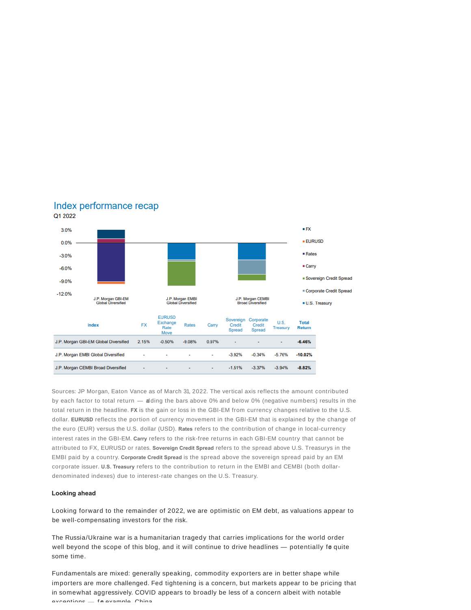

## Index performance recap Q1 2022

Sources: JP Morgan, Eaton Vance as of March 31, 2022. The vertical axis reflects the amount contributed by each factor to total return — adding the bars above 0% and below 0% (negative numbers) results in the total return in the headline. **FX** is the gain or loss in the GBI-EM from currency changes relative to the U.S. dollar. **EURUSD** reflects the portion of currency movement in the GBI-EM that is explained by the change of the euro (EUR) versus the U.S. dollar (USD). **Rates** refers to the contribution of change in local-currency interest rates in the GBI-EM. **Carry** refers to the risk-free returns in each GBI-EM country that cannot be attributed to FX, EURUSD or rates. **Sovereign Credit Spread** refers to the spread above U.S. Treasurys in the EMBI paid by a country. **Corporate Credit Spread** is the spread above the sovereign spread paid by an EM corporate issuer. **U.S. Treasury** refers to the contribution to return in the EMBI and CEMBI (both dollardenominated indexes) due to interest-rate changes on the U.S. Treasury.

## **Looking ahead**

Looking forward to the remainder of 2022, we are optimistic on EM debt, as valuations appear to be well-compensating investors for the risk.

The Russia/Ukraine war is a humanitarian tragedy that carries implications for the world order well beyond the scope of this blog, and it will continue to drive headlines - potentially fo quite some time.

Fundamentals are mixed: generally speaking, commodity exporters are in better shape while importers are more challenged. Fed tightening is a concern, but markets appear to be pricing that in somewhat aggressively. COVID appears to broadly be less of a concern albeit with notable exceptions for example. China